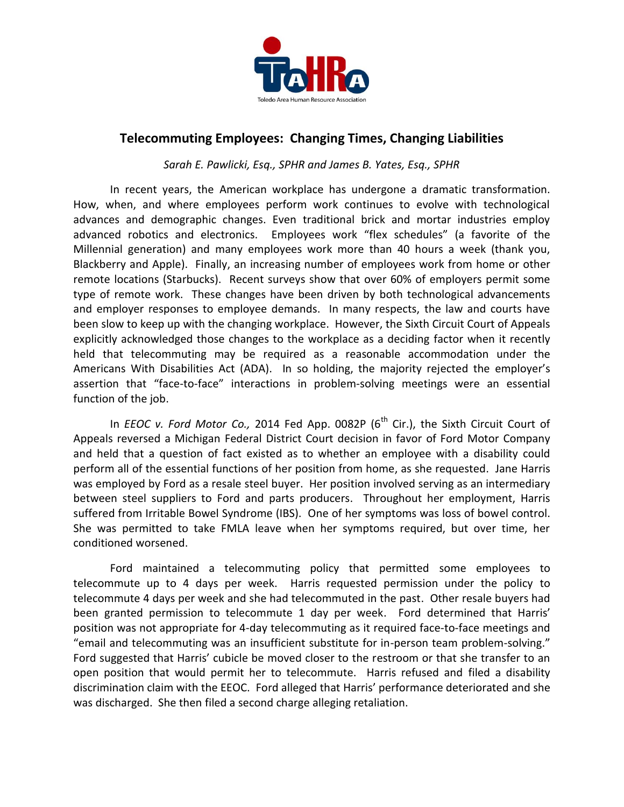

## **Telecommuting Employees: Changing Times, Changing Liabilities**

*Sarah E. Pawlicki, Esq., SPHR and James B. Yates, Esq., SPHR*

In recent years, the American workplace has undergone a dramatic transformation. How, when, and where employees perform work continues to evolve with technological advances and demographic changes. Even traditional brick and mortar industries employ advanced robotics and electronics. Employees work "flex schedules" (a favorite of the Millennial generation) and many employees work more than 40 hours a week (thank you, Blackberry and Apple). Finally, an increasing number of employees work from home or other remote locations (Starbucks). Recent surveys show that over 60% of employers permit some type of remote work. These changes have been driven by both technological advancements and employer responses to employee demands. In many respects, the law and courts have been slow to keep up with the changing workplace. However, the Sixth Circuit Court of Appeals explicitly acknowledged those changes to the workplace as a deciding factor when it recently held that telecommuting may be required as a reasonable accommodation under the Americans With Disabilities Act (ADA). In so holding, the majority rejected the employer's assertion that "face-to-face" interactions in problem-solving meetings were an essential function of the job.

In *EEOC v. Ford Motor Co.,* 2014 Fed App. 0082P (6<sup>th</sup> Cir.), the Sixth Circuit Court of Appeals reversed a Michigan Federal District Court decision in favor of Ford Motor Company and held that a question of fact existed as to whether an employee with a disability could perform all of the essential functions of her position from home, as she requested. Jane Harris was employed by Ford as a resale steel buyer. Her position involved serving as an intermediary between steel suppliers to Ford and parts producers. Throughout her employment, Harris suffered from Irritable Bowel Syndrome (IBS). One of her symptoms was loss of bowel control. She was permitted to take FMLA leave when her symptoms required, but over time, her conditioned worsened.

Ford maintained a telecommuting policy that permitted some employees to telecommute up to 4 days per week. Harris requested permission under the policy to telecommute 4 days per week and she had telecommuted in the past. Other resale buyers had been granted permission to telecommute 1 day per week. Ford determined that Harris' position was not appropriate for 4-day telecommuting as it required face-to-face meetings and "email and telecommuting was an insufficient substitute for in-person team problem-solving." Ford suggested that Harris' cubicle be moved closer to the restroom or that she transfer to an open position that would permit her to telecommute. Harris refused and filed a disability discrimination claim with the EEOC. Ford alleged that Harris' performance deteriorated and she was discharged. She then filed a second charge alleging retaliation.